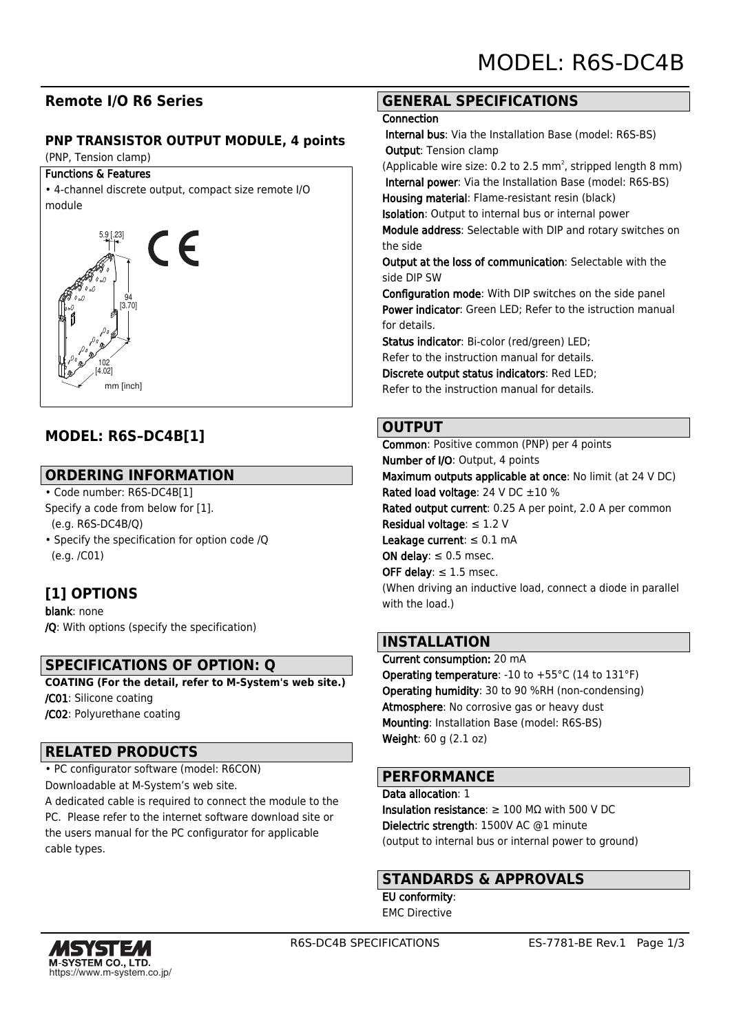# **Remote I/O R6 Series**

#### **PNP TRANSISTOR OUTPUT MODULE, 4 points**

(PNP, Tension clamp)

#### Functions & Features

• 4-channel discrete output, compact size remote I/O module



# **MODEL: R6S–DC4B[1]**

# **ORDERING INFORMATION**

- Code number: R6S-DC4B[1] Specify a code from below for [1]. (e.g. R6S-DC4B/Q)
- Specify the specification for option code /Q (e.g. /C01)

# **[1] OPTIONS**

blank: none /Q: With options (specify the specification)

# **SPECIFICATIONS OF OPTION: Q**

**COATING (For the detail, refer to M-System's web site.)** /C01: Silicone coating /C02: Polyurethane coating

#### **RELATED PRODUCTS**

• PC configurator software (model: R6CON) Downloadable at M-System's web site. A dedicated cable is required to connect the module to the PC. Please refer to the internet software download site or

the users manual for the PC configurator for applicable cable types.

### **GENERAL SPECIFICATIONS**

#### **Connection**

 Internal bus: Via the Installation Base (model: R6S-BS) Output: Tension clamp

(Applicable wire size: 0.2 to 2.5  $mm<sup>2</sup>$ , stripped length 8  $mm$ ) Internal power: Via the Installation Base (model: R6S-BS) Housing material: Flame-resistant resin (black)

Isolation: Output to internal bus or internal power

Module address: Selectable with DIP and rotary switches on the side

Output at the loss of communication: Selectable with the side DIP SW

Configuration mode: With DIP switches on the side panel Power indicator: Green LED; Refer to the istruction manual for details.

Status indicator: Bi-color (red/green) LED;

Refer to the instruction manual for details.

Discrete output status indicators: Red LED;

Refer to the instruction manual for details.

### **OUTPUT**

Common: Positive common (PNP) per 4 points Number of I/O: Output, 4 points Maximum outputs applicable at once: No limit (at 24 V DC) Rated load voltage: 24 V DC ±10 % Rated output current: 0.25 A per point, 2.0 A per common Residual voltage: ≤ 1.2 V Leakage current:  $\leq 0.1$  mA ON delay:  $\leq 0.5$  msec. OFF delay:  $\leq 1.5$  msec. (When driving an inductive load, connect a diode in parallel with the load.)

### **INSTALLATION**

Current consumption: 20 mA Operating temperature: -10 to +55°C (14 to 131°F) Operating humidity: 30 to 90 %RH (non-condensing) Atmosphere: No corrosive gas or heavy dust Mounting: Installation Base (model: R6S-BS) Weight: 60 g (2.1 oz)

### **PERFORMANCE**

Data allocation: 1 Insulation resistance:  $\geq 100$  M $\Omega$  with 500 V DC Dielectric strength: 1500V AC @1 minute (output to internal bus or internal power to ground)

### **STANDARDS & APPROVALS**

EU conformity: EMC Directive

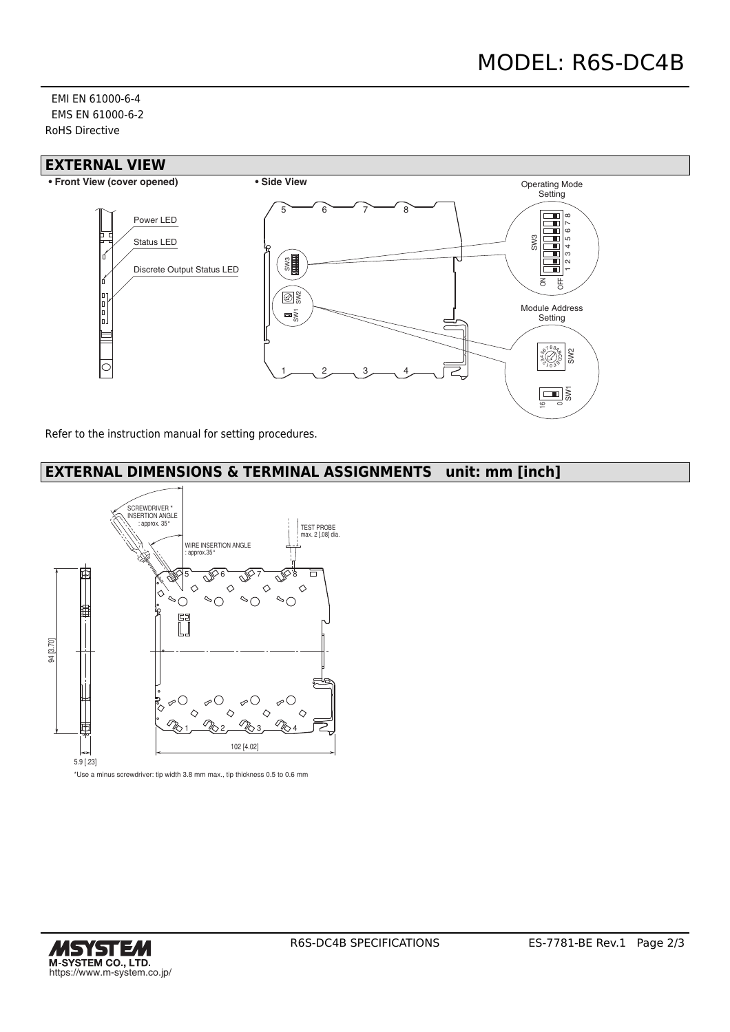EMI EN 61000-6-4 EMS EN 61000-6-2 RoHS Directive



Refer to the instruction manual for setting procedures.

# **EXTERNAL DIMENSIONS & TERMINAL ASSIGNMENTS unit: mm [inch]**



\*Use a minus screwdriver: tip width 3.8 mm max., tip thickness 0.5 to 0.6 mm